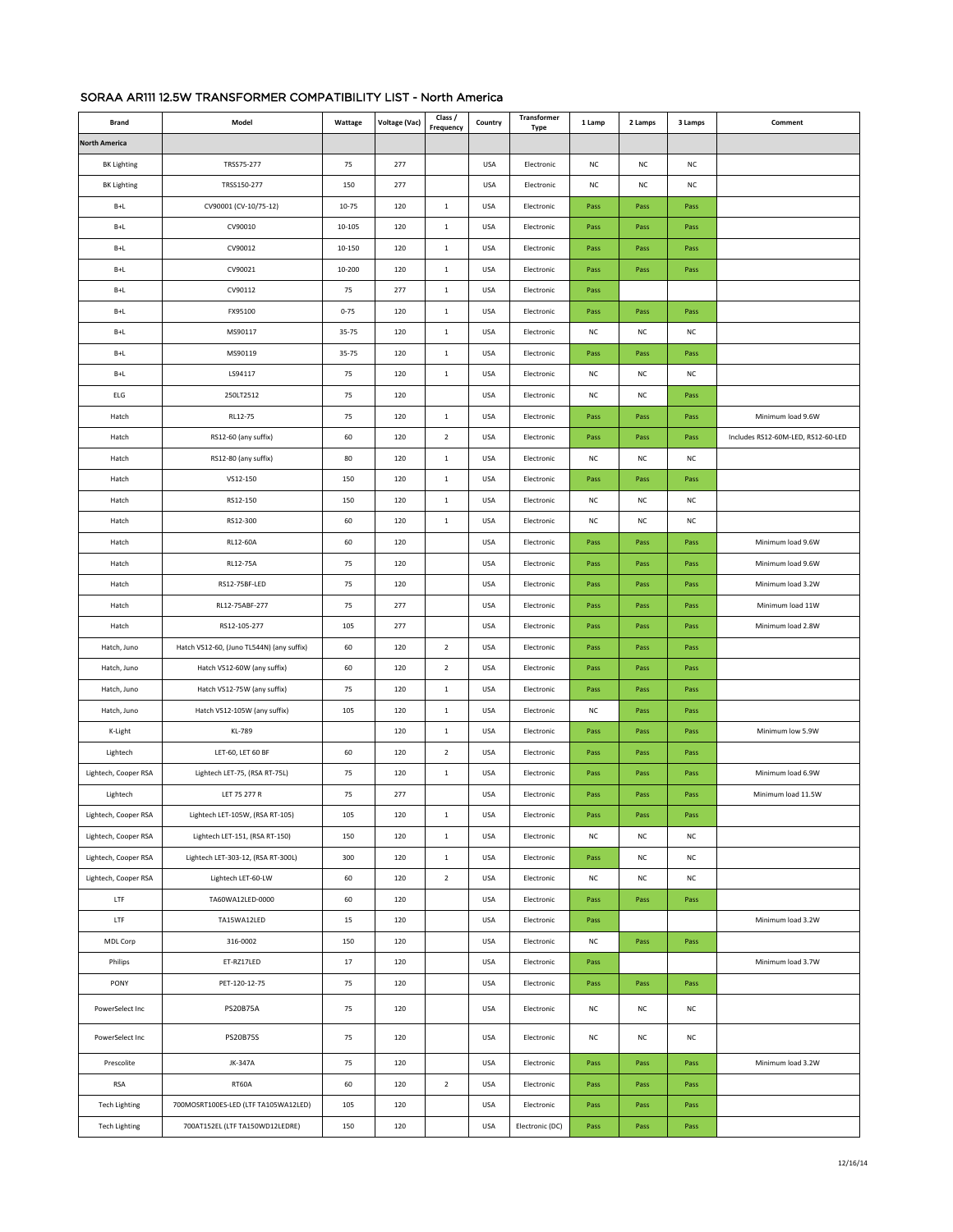## SORAA AR111 12.5W TRANSFORMER COMPATIBILITY LIST - North America

|                      |                                           |           |               |                      |            | Transformer     |             |             |             |                                    |
|----------------------|-------------------------------------------|-----------|---------------|----------------------|------------|-----------------|-------------|-------------|-------------|------------------------------------|
| <b>Brand</b>         | Model                                     | Wattage   | Voltage (Vac) | Class /<br>Frequency | Country    | Type            | 1 Lamp      | 2 Lamps     | 3 Lamps     | Comment                            |
| <b>North America</b> |                                           |           |               |                      |            |                 |             |             |             |                                    |
| <b>BK Lighting</b>   | TRSS75-277                                | 75        | 277           |                      | USA        | Electronic      | NC          | NC          | <b>NC</b>   |                                    |
| <b>BK Lighting</b>   | TRSS150-277                               | 150       | 277           |                      | USA        | Electronic      | NC          | NC          | NC          |                                    |
| $B+L$                | CV90001 (CV-10/75-12)                     | $10 - 75$ | 120           | $\,$ 1               | USA        | Electronic      | Pass        | Pass        | Pass        |                                    |
| $B+L$                | CV90010                                   | 10-105    | 120           | $\mathbf 1$          | USA        | Electronic      | Pass        | Pass        | Pass        |                                    |
| $B+L$                | CV90012                                   | 10-150    | 120           | $\,$ 1               | <b>USA</b> | Electronic      | Pass        | Pass        | Pass        |                                    |
| $B+L$                | CV90021                                   | 10-200    | 120           | $\mathbf 1$          | <b>USA</b> | Electronic      | Pass        | Pass        | Pass        |                                    |
| $B+L$                | CV90112                                   | 75        | 277           | $\mathbf 1$          | <b>USA</b> | Electronic      | Pass        |             |             |                                    |
| $B+L$                | FX95100                                   | $0 - 75$  | 120           | $\mathbf 1$          | <b>USA</b> | Electronic      | Pass        | Pass        | Pass        |                                    |
| $B+L$                | MS90117                                   | 35-75     | 120           | $\mathbf{1}$         | <b>USA</b> | Electronic      | NC          | $_{\rm NC}$ | NC          |                                    |
| $B+L$                | MS90119                                   | 35-75     | 120           | $\mathbf 1$          | <b>USA</b> | Electronic      | Pass        | Pass        | Pass        |                                    |
| $B+L$                | LS94117                                   | 75        | 120           | $\mathbf 1$          | USA        | Electronic      | NC          | NC          | NC          |                                    |
| ELG                  | 250LT2512                                 | 75        | 120           |                      | USA        | Electronic      | NC          | NC          | Pass        |                                    |
| Hatch                | RL12-75                                   | 75        | 120           | $\,$ 1               | <b>USA</b> | Electronic      | Pass        | Pass        | Pass        | Minimum load 9.6W                  |
| Hatch                | RS12-60 (any suffix)                      | 60        | 120           | $\overline{2}$       | <b>USA</b> | Electronic      | Pass        | Pass        | Pass        | Includes RS12-60M-LED, RS12-60-LED |
| Hatch                | RS12-80 (any suffix)                      | 80        | 120           | $\mathbf 1$          | <b>USA</b> | Electronic      | NC          | NC          | NC          |                                    |
| Hatch                | VS12-150                                  | 150       | 120           | $\mathbf 1$          | <b>USA</b> | Electronic      | Pass        | Pass        | Pass        |                                    |
| Hatch                | RS12-150                                  | 150       | 120           | $\,$ 1               | <b>USA</b> | Electronic      | NC          | $_{\rm NC}$ | <b>NC</b>   |                                    |
| Hatch                | RS12-300                                  | 60        | 120           | $\mathbf 1$          | <b>USA</b> | Electronic      | NC          | NC          | NC          |                                    |
| Hatch                | RL12-60A                                  | 60        | 120           |                      | USA        | Electronic      | Pass        | Pass        | Pass        | Minimum load 9.6W                  |
| Hatch                | RL12-75A                                  | 75        | 120           |                      | <b>USA</b> | Electronic      | Pass        | Pass        | Pass        | Minimum load 9.6W                  |
| Hatch                | RS12-75BF-LED                             | 75        | 120           |                      | <b>USA</b> | Electronic      | Pass        | Pass        | Pass        | Minimum load 3.2W                  |
| Hatch                | RL12-75ABF-277                            | 75        | 277           |                      | <b>USA</b> | Electronic      | Pass        | Pass        | Pass        | Minimum load 11W                   |
| Hatch                | RS12-105-277                              | 105       | 277           |                      | <b>USA</b> | Electronic      | Pass        | Pass        | Pass        | Minimum load 2.8W                  |
| Hatch, Juno          | Hatch VS12-60, (Juno TL544N) (any suffix) | 60        | 120           | $\overline{2}$       | <b>USA</b> | Electronic      | Pass        | Pass        | Pass        |                                    |
| Hatch, Juno          | Hatch VS12-60W (any suffix)               | 60        | 120           | $\overline{2}$       | <b>USA</b> | Electronic      | Pass        | Pass        | Pass        |                                    |
| Hatch, Juno          | Hatch VS12-75W (any suffix)               | 75        | 120           | $\mathbf 1$          | <b>USA</b> | Electronic      | Pass        | Pass        | Pass        |                                    |
| Hatch, Juno          | Hatch VS12-105W (any suffix)              | 105       | 120           | $\mathbf 1$          | <b>USA</b> | Electronic      | NC          | Pass        | Pass        |                                    |
| K-Light              | KL-789                                    |           | 120           | $\mathbf 1$          | USA        | Electronic      | Pass        | Pass        | Pass        | Minimum low 5.9W                   |
| Lightech             | LET-60, LET 60 BF                         | 60        | 120           | $\overline{2}$       | <b>USA</b> | Electronic      | Pass        | Pass        | Pass        |                                    |
| Lightech, Cooper RSA | Lightech LET-75, (RSA RT-75L)             | 75        | 120           | $\mathbf 1$          | <b>USA</b> | Electronic      | Pass        | Pass        | Pass        | Minimum load 6.9W                  |
| Lightech             | LET 75 277 R                              | 75        | 277           |                      | <b>USA</b> | Electronic      | Pass        | Pass        | Pass        | Minimum load 11.5W                 |
| Lightech, Cooper RSA | Lightech LET-105W, (RSA RT-105)           | 105       | 120           | $\mathbf{1}$         | USA        | Electronic      | Pass        | Pass        | Pass        |                                    |
| Lightech, Cooper RSA | Lightech LET-151, (RSA RT-150)            | 150       | 120           | $\,$ 1 $\,$          | <b>USA</b> | Electronic      | ${\sf NC}$  | ${\sf NC}$  | $_{\rm NC}$ |                                    |
| Lightech, Cooper RSA | Lightech LET-303-12, (RSA RT-300L)        | 300       | 120           | $\,$ 1               | <b>USA</b> | Electronic      | Pass        | ${\sf NC}$  | $_{\rm NC}$ |                                    |
| Lightech, Cooper RSA | Lightech LET-60-LW                        | 60        | 120           | $\mathbf 2$          | <b>USA</b> | Electronic      | NC          | NC          | $_{\rm NC}$ |                                    |
| LTF                  | TA60WA12LED-0000                          | 60        | 120           |                      | <b>USA</b> | Electronic      | Pass        | Pass        | Pass        |                                    |
| LTF                  | TA15WA12LED                               | 15        | 120           |                      | <b>USA</b> | Electronic      | Pass        |             |             | Minimum load 3.2W                  |
| MDL Corp             | 316-0002                                  | 150       | 120           |                      | <b>USA</b> | Electronic      | NC          | Pass        | Pass        |                                    |
|                      | ET-RZ17LED                                | $17\,$    | 120           |                      | <b>USA</b> | Electronic      | Pass        |             |             |                                    |
| Philips              |                                           |           | 120           |                      | <b>USA</b> | Electronic      |             |             |             | Minimum load 3.7W                  |
| PONY                 | PET-120-12-75                             | 75        |               |                      |            |                 | Pass        | Pass        | Pass        |                                    |
| PowerSelect Inc      | PS20B75A                                  | 75        | 120           |                      | USA        | Electronic      | NC          | NC          | <b>NC</b>   |                                    |
| PowerSelect Inc      | PS20B75S                                  | 75        | 120           |                      | USA        | Electronic      | $_{\rm NC}$ | NC          | NC          |                                    |
| Prescolite           | JK-347A                                   | 75        | 120           |                      | <b>USA</b> | Electronic      | Pass        | Pass        | Pass        | Minimum load 3.2W                  |
| <b>RSA</b>           | RT60A                                     | 60        | 120           | $\mathbf 2$          | <b>USA</b> | Electronic      | Pass        | Pass        | Pass        |                                    |
| <b>Tech Lighting</b> | 700MOSRT100ES-LED (LTF TA105WA12LED)      | 105       | 120           |                      | <b>USA</b> | Electronic      | Pass        | Pass        | Pass        |                                    |
| <b>Tech Lighting</b> | 700AT152EL (LTF TA150WD12LEDRE)           | 150       | 120           |                      | <b>USA</b> | Electronic (DC) | Pass        | Pass        | Pass        |                                    |